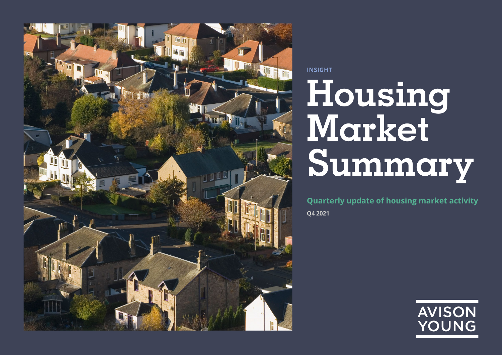

**Housing Market Summary INSIGHT**

**Q4 2021 Quarterly update of housing market activity**

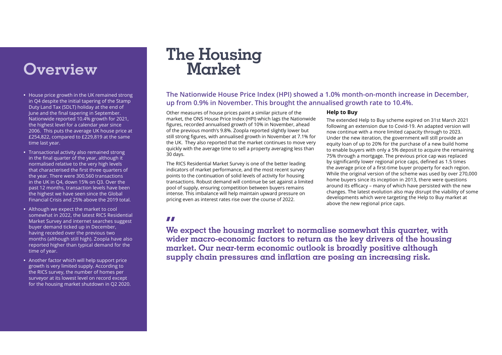- **•** House price growth in the UK remained strong in Q4 despite the initial tapering of the Stamp Duty Land Tax (SDLT) holiday at the end of June and the final tapering in September. Nationwide reported 10.4% growth for 2021, the highest level for a calendar year since 2006. This puts the average UK house price at £254,822, compared to £229,819 at the same time last year.
- **•** Transactional activity also remained strong in the final quarter of the year, although it normalised relative to the very high levels that characterised the first three quarters of the year. There were 300,560 transactions in the UK in Q4, down 15% on Q3. Over the past 12 months, transaction levels have been the highest we have seen since the Global Financial Crisis and 25% above the 2019 total.
- **•** Although we expect the market to cool somewhat in 2022, the latest RICS Residential Market Survey and internet searches suggest buyer demand ticked up in December, having receded over the previous two months (although still high). Zoopla have also reported higher than typical demand for the time of year.
- **•** Another factor which will help support price growth is very limited supply. According to the RICS survey, the number of homes per surveyor at its lowest level on record except for the housing market shutdown in Q2 2020.

# **The Housing Overview Market**

## **The Nationwide House Price Index (HPI) showed a 1.0% month-on-month increase in December, up from 0.9% in November. This brought the annualised growth rate to 10.4%.**

Other measures of house prices paint a similar picture of the market, the ONS House Price Index (HPI) which lags the Nationwide figures, recorded annualised growth of 10% in November, ahead of the previous month's 9.8%. Zoopla reported slightly lower but still strong figures, with annualised growth in November at 7.1% for the UK. They also reported that the market continues to move very quickly with the average time to sell a property averaging less than 30 days.

The RICS Residential Market Survey is one of the better leading indicators of market performance, and the most recent survey points to the continuation of solid levels of activity for housing transactions. Robust demand will continue be set against a limited pool of supply, ensuring competition between buyers remains intense. This imbalance will help maintain upward pressure on pricing even as interest rates rise over the course of 2022.

### **Help to Buy**

The extended Help to Buy scheme expired on 31st March 2021 following an extension due to Covid-19. An adapted version will now continue with a more limited capacity through to 2023. Under the new iteration, the government will still provide an equity loan of up to 20% for the purchase of a new build home to enable buyers with only a 5% deposit to acquire the remaining 75% through a mortgage. The previous price cap was replaced by significantly lower regional price caps, defined as 1.5 times the average price of a first-time buyer property for each region. While the original version of the scheme was used by over 270,000 home buyers since its inception in 2013, there were questions around its efficacy – many of which have persisted with the new changes. The latest evolution also may disrupt the viability of some developments which were targeting the Help to Buy market at above the new regional price caps.

**We expect the housing market to normalise somewhat this quarter, with "wider macro-economic factors to return as the key drivers of the housing market. Our near-term economic outlook is broadly positive although supply chain pressures and inflation are posing an increasing risk.**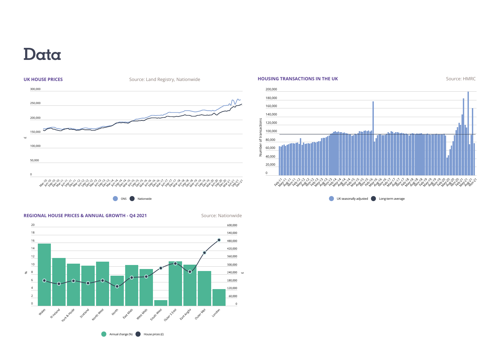## **Data**



**ONS** Nationwide





Annual change  $(\%)$  House prices  $(E)$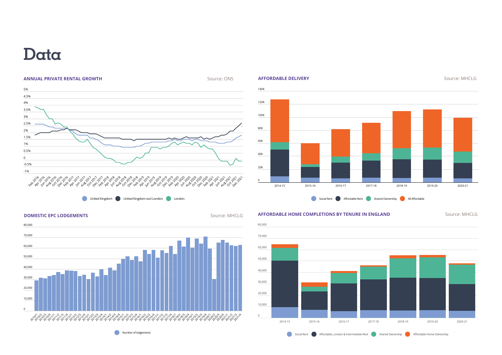## **Data**



United Kingdom United Kingdom excl London London







Number of lodgements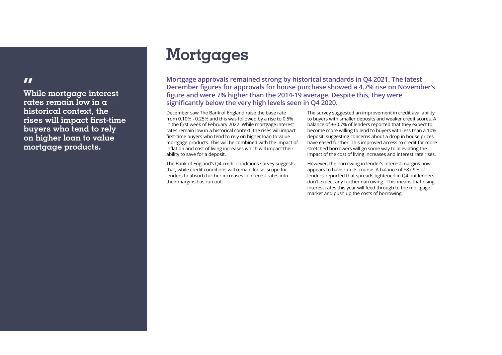## **Mortgages**

**Mortgage approvals remained strong by historical standards in Q4 2021. The latest December figures for approvals for house purchase showed a 4.7% rise on November's figure and were 7% higher than the 2014-19 average. Despite this, they were significantly below the very high levels seen in Q4 2020.** 

December saw The Bank of England raise the base rate from 0.10% - 0.25% and this was followed by a rise to 0.5% in the first week of February 2022. While mortgage interest rates remain low in a historical context, the rises will impact first-time buyers who tend to rely on higher loan to value mortgage products. This will be combined with the impact of inflation and cost of living increases which will impact their ability to save for a deposit.

The Bank of England's Q4 credit conditions survey suggests that, while credit conditions will remain loose, scope for lenders to absorb further increases in interest rates into their margins has run out.

The survey suggested an improvement in credit availability to buyers with smaller deposits and weaker credit scores. A balance of +30.7% of lenders reported that they expect to become more willing to lend to buyers with less than a 10% deposit, suggesting concerns about a drop in house prices have eased further. This improved access to credit for more stretched borrowers will go some way to alleviating the impact of the cost of living increases and interest rate rises.

However, the narrowing in lender's interest margins now appears to have run its course. A balance of +87.9% of lenders' reported that spreads tightened in Q4 but lenders don't expect any further narrowing. This means that rising interest rates this year will feed through to the mortgage market and push up the costs of borrowing.

**While mortgage interest "rates remain low in a historical context, the rises will impact first-time buyers who tend to rely on higher loan to value mortgage products.**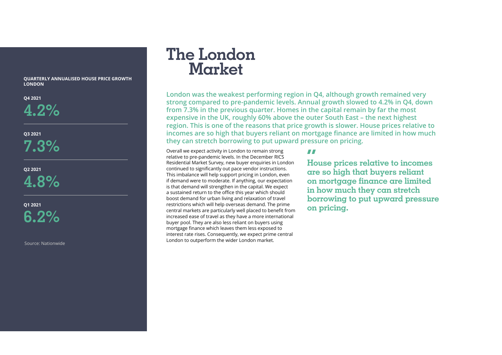**QUARTERLY ANNUALISED HOUSE PRICE GROWTH LONDON**

**Q4 2021**

**4.2%**

**Q3 2021 7.3%**

**Q2 2021 4.8%**

**Q1 2021 6.2%**

Source: Nationwide

## **The London Market**

**London was the weakest performing region in Q4, although growth remained very strong compared to pre-pandemic levels. Annual growth slowed to 4.2% in Q4, down from 7.3% in the previous quarter. Homes in the capital remain by far the most expensive in the UK, roughly 60% above the outer South East – the next highest region. This is one of the reasons that price growth is slower. House prices relative to incomes are so high that buyers reliant on mortgage finance are limited in how much they can stretch borrowing to put upward pressure on pricing.**

Overall we expect activity in London to remain strong relative to pre-pandemic levels. In the December RICS Residential Market Survey, new buyer enquiries in London continued to significantly out pace vendor instructions. This imbalance will help support pricing in London, even if demand were to moderate. If anything, our expectation is that demand will strengthen in the capital. We expect a sustained return to the office this year which should boost demand for urban living and relaxation of travel restrictions which will help overseas demand. The prime central markets are particularly well placed to benefit from increased ease of travel as they have a more international buyer pool. They are also less reliant on buyers using mortgage finance which leaves them less exposed to interest rate rises. Consequently, we expect prime central London to outperform the wider London market.

**House prices relative to incomes "are so high that buyers reliant on mortgage finance are limited in how much they can stretch borrowing to put upward pressure on pricing.**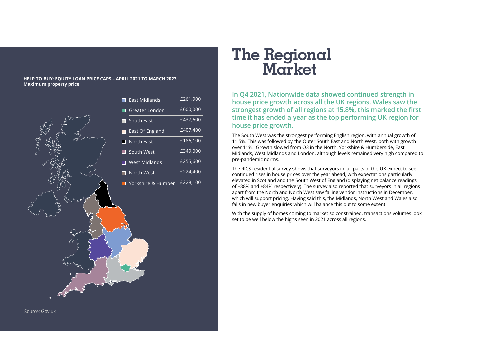### **HELP TO BUY: EQUITY LOAN PRICE CAPS – APRIL 2021 TO MARCH 2023 Maximum property price**

£261,900  $£600,000$ £437,600

|          |   | Edst Mildidrius      | 2201,300 |
|----------|---|----------------------|----------|
|          |   | Greater London       | £600,000 |
|          |   | South East           | £437,600 |
|          |   | East Of England      | £407,400 |
| CONCROCA | ٠ | North East           | £186,100 |
|          |   | South West           | £349,000 |
|          |   | <b>West Midlands</b> | £255,600 |
|          | П | North West           | £224,400 |
|          |   | Yorkshire & Humber   | £228,100 |
|          |   |                      |          |

Source: Gov.uk

# **The Regional Market**

**In Q4 2021, Nationwide data showed continued strength in house price growth across all the UK regions. Wales saw the strongest growth of all regions at 15.8%, this marked the first time it has ended a year as the top performing UK region for house price growth.** 

The South West was the strongest performing English region, with annual growth of 11.5%. This was followed by the Outer South East and North West, both with growth over 11%. Growth slowed from Q3 in the North, Yorkshire & Humberside, East Midlands, West Midlands and London, although levels remained very high compared to pre-pandemic norms.

The RICS residential survey shows that surveyors in all parts of the UK expect to see continued rises in house prices over the year ahead, with expectations particularly elevated in Scotland and the South West of England (displaying net balance readings of +88% and +84% respectively). The survey also reported that surveyors in all regions apart from the North and North West saw falling vendor instructions in December, which will support pricing. Having said this, the Midlands, North West and Wales also falls in new buyer enquiries which will balance this out to some extent.

With the supply of homes coming to market so constrained, transactions volumes look set to be well below the highs seen in 2021 across all regions.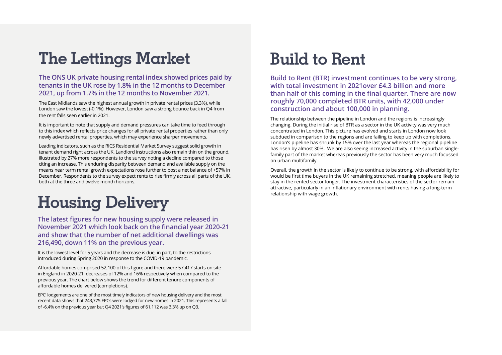# **The Lettings Market**

## **The ONS UK private housing rental index showed prices paid by tenants in the UK rose by 1.8% in the 12 months to December 2021, up from 1.7% in the 12 months to November 2021.**

The East Midlands saw the highest annual growth in private rental prices (3.3%), while London saw the lowest (-0.1%). However, London saw a strong bounce back in Q4 from the rent falls seen earlier in 2021.

It is important to note that supply and demand pressures can take time to feed through to this index which reflects price changes for all private rental properties rather than only newly advertised rental properties, which may experience sharper movements.

Leading indicators, such as the RICS Residential Market Survey suggest solid growth in tenant demand right across the UK. Landlord instructions also remain thin on the ground, illustrated by 27% more respondents to the survey noting a decline compared to those citing an increase. This enduring disparity between demand and available supply on the means near term rental growth expectations rose further to post a net balance of +57% in December. Respondents to the survey expect rents to rise firmly across all parts of the UK, both at the three and twelve month horizons.

# **Housing Delivery**

### **The latest figures for new housing supply were released in November 2021 which look back on the financial year 2020-21 and show that the number of net additional dwellings was 216,490, down 11% on the previous year.**

It is the lowest level for 5 years and the decrease is due, in part, to the restrictions introduced during Spring 2020 in response to the COVID-19 pandemic.

Affordable homes comprised 52,100 of this figure and there were 57,417 starts on site in England in 2020-21, decreases of 12% and 16% respectively when compared to the previous year. The chart below shows the trend for different tenure components of affordable homes delivered (completions).

EPC' lodgements are one of the most timely indicators of new housing delivery and the most recent data shows that 243,775 EPCs were lodged for new homes in 2021. This represents a fall of -6.4% on the previous year but Q4 2021's figures of 61,112 was 3.3% up on Q3.

# **Build to Rent**

**Build to Rent (BTR) investment continues to be very strong, with total investment in 2021over £4.3 billion and more than half of this coming in the final quarter. There are now roughly 70,000 completed BTR units, with 42,000 under construction and about 100,000 in planning.**

The relationship between the pipeline in London and the regions is increasingly changing. During the initial rise of BTR as a sector in the UK activity was very much concentrated in London. This picture has evolved and starts in London now look subdued in comparison to the regions and are failing to keep up with completions. London's pipeline has shrunk by 15% over the last year whereas the regional pipeline has risen by almost 30%. We are also seeing increased activity in the suburban singlefamily part of the market whereas previously the sector has been very much focussed on urban multifamily.

Overall, the growth in the sector is likely to continue to be strong, with affordability for would be first time buyers in the UK remaining stretched, meaning people are likely to stay in the rented sector longer. The investment characteristics of the sector remain attractive, particularly in an inflationary environment with rents having a long-term relationship with wage growth,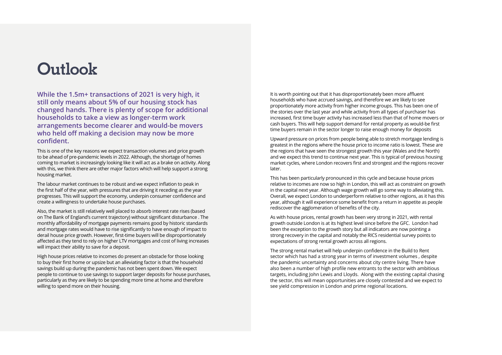## **Outlook**

**While the 1.5m+ transactions of 2021 is very high, it still only means about 5% of our housing stock has changed hands. There is plenty of scope for additional households to take a view as longer-term work arrangements become clearer and would-be movers who held off making a decision may now be more confident.** 

This is one of the key reasons we expect transaction volumes and price growth to be ahead of pre-pandemic levels in 2022. Although, the shortage of homes coming to market is increasingly looking like it will act as a brake on activity. Along with this, we think there are other major factors which will help support a strong housing market.

The labour market continues to be robust and we expect inflation to peak in the first half of the year, with pressures that are driving it receding as the year progresses. This will support the economy, underpin consumer confidence and create a willingness to undertake house purchases.

Also, the market is still relatively well placed to absorb interest rate rises (based on The Bank of England's current trajectory) without significant disturbance . The monthly affordability of mortgage payments remains good by historic standards and mortgage rates would have to rise significantly to have enough of impact to derail house price growth. However, first-time buyers will be disproportionately affected as they tend to rely on higher LTV mortgages and cost of living increases will impact their ability to save for a deposit.

High house prices relative to incomes do present an obstacle for those looking to buy their first home or upsize but an alleviating factor is that the household savings build up during the pandemic has not been spent down. We expect people to continue to use savings to support larger deposits for house purchases, particularly as they are likely to be spending more time at home and therefore willing to spend more on their housing.

It is worth pointing out that it has disproportionately been more affluent households who have accrued savings, and therefore we are likely to see proportionately more activity from higher income groups. This has been one of the stories over the last year and while activity from all types of purchaser has increased, first time buyer activity has increased less than that of home movers or cash buyers. This will help support demand for rental property as would-be first time buyers remain in the sector longer to raise enough money for deposits

Upward pressure on prices from people being able to stretch mortgage lending is greatest in the regions where the house price to income ratio is lowest. These are the regions that have seen the strongest growth this year (Wales and the North) and we expect this trend to continue next year. This is typical of previous housing market cycles, where London recovers first and strongest and the regions recover later.

This has been particularly pronounced in this cycle and because house prices relative to incomes are now so high in London, this will act as constraint on growth in the capital next year. Although wage growth will go some way to alleviating this. Overall, we expect London to underperform relative to other regions, as it has this year, although it will experience some benefit from a return in appetite as people rediscover the agglomeration of benefits of the city.

As with house prices, rental growth has been very strong in 2021, with rental growth outside London is at its highest level since before the GFC. London had been the exception to the growth story but all indicators are now pointing a strong recovery in the capital and notably the RICS residential survey points to expectations of strong rental growth across all regions.

The strong rental market will help underpin confidence in the Build to Rent sector which has had a strong year in terms of investment volumes , despite the pandemic uncertainty and concerns about city centre living. There have also been a number of high profile new entrants to the sector with ambitious targets, including John Lewis and Lloyds. Along with the existing capital chasing the sector, this will mean opportunities are closely contested and we expect to see yield compression in London and prime regional locations.